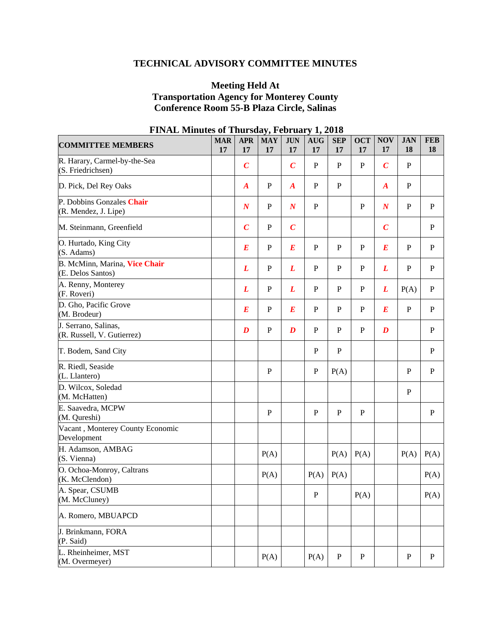# **TECHNICAL ADVISORY COMMITTEE MINUTES**

### **Meeting Held At Transportation Agency for Monterey County Conference Room 55-B Plaza Circle, Salinas**

| <b>COMMITTEE MEMBERS</b>                           | <b>MAR</b><br>17 | <b>APR</b><br>17 | <b>MAY</b><br>17 | <b>JUN</b><br>17 | <b>AUG</b><br>17 | <b>SEP</b><br>17 | <b>OCT</b><br>17 | <b>NOV</b><br>17 | <b>JAN</b><br>18 | <b>FEB</b><br>18 |
|----------------------------------------------------|------------------|------------------|------------------|------------------|------------------|------------------|------------------|------------------|------------------|------------------|
| R. Harary, Carmel-by-the-Sea<br>(S. Friedrichsen)  |                  | $\boldsymbol{C}$ |                  | $\boldsymbol{C}$ | $\mathbf{P}$     | $\mathbf{P}$     | $\mathbf{P}$     | $\boldsymbol{C}$ | ${\bf P}$        |                  |
| D. Pick, Del Rey Oaks                              |                  | $\boldsymbol{A}$ | $\mathbf P$      | $\boldsymbol{A}$ | $\mathbf P$      | $\mathbf P$      |                  | $\boldsymbol{A}$ | $\mathbf P$      |                  |
| P. Dobbins Gonzales Chair<br>(R. Mendez, J. Lipe)  |                  | $\boldsymbol{N}$ | P                | $\boldsymbol{N}$ | $\mathbf{P}$     |                  | P                | $\boldsymbol{N}$ | ${\bf P}$        | P                |
| M. Steinmann, Greenfield                           |                  | $\boldsymbol{C}$ | ${\bf P}$        | $\boldsymbol{C}$ |                  |                  |                  | $\boldsymbol{C}$ |                  | $\mathbf{P}$     |
| O. Hurtado, King City<br>(S. Adams)                |                  | $\bm E$          | $\mathbf P$      | $\bm E$          | $\mathbf{P}$     | $\mathbf{P}$     | P                | $\boldsymbol{E}$ | $\mathbf P$      | $\mathbf{P}$     |
| B. McMinn, Marina, Vice Chair<br>(E. Delos Santos) |                  | L                | ${\bf P}$        | L                | $\mathbf P$      | $\mathbf P$      | $\mathbf{P}$     | L                | ${\bf P}$        | ${\bf P}$        |
| A. Renny, Monterey<br>(F. Roveri)                  |                  | L                | ${\bf P}$        | L                | ${\bf P}$        | $\mathbf{P}$     | $\mathbf{P}$     | L                | P(A)             | ${\bf P}$        |
| D. Gho, Pacific Grove<br>(M. Brodeur)              |                  | $\boldsymbol{E}$ | ${\bf P}$        | $\boldsymbol{E}$ | $\mathbf{P}$     | $\mathbf{P}$     | $\mathbf{P}$     | $\boldsymbol{E}$ | ${\bf P}$        | $\mathbf{P}$     |
| J. Serrano, Salinas,<br>(R. Russell, V. Gutierrez) |                  | $\boldsymbol{D}$ | ${\bf P}$        | $\boldsymbol{D}$ | $\mathbf{P}$     | $\mathbf{P}$     | $\mathbf{P}$     | $\boldsymbol{D}$ |                  | $\mathbf{P}$     |
| T. Bodem, Sand City                                |                  |                  |                  |                  | $\mathbf P$      | $\mathbf{P}$     |                  |                  |                  | P                |
| R. Riedl, Seaside<br>(L. Llantero)                 |                  |                  | $\mathbf{P}$     |                  | ${\bf P}$        | P(A)             |                  |                  | $\mathbf P$      | ${\bf P}$        |
| D. Wilcox, Soledad<br>(M. McHatten)                |                  |                  |                  |                  |                  |                  |                  |                  | ${\bf P}$        |                  |
| E. Saavedra, MCPW<br>(M. Qureshi)                  |                  |                  | $\, {\bf P}$     |                  | $\mathbf P$      | $\mathbf P$      | $\mathbf P$      |                  |                  | $\mathbf P$      |
| Vacant, Monterey County Economic<br>Development    |                  |                  |                  |                  |                  |                  |                  |                  |                  |                  |
| H. Adamson, AMBAG<br>(S. Vienna)                   |                  |                  | P(A)             |                  |                  | P(A)             | P(A)             |                  | P(A)             | P(A)             |
| O. Ochoa-Monroy, Caltrans<br>(K. McClendon)        |                  |                  | P(A)             |                  | P(A)             | P(A)             |                  |                  |                  | P(A)             |
| A. Spear, CSUMB<br>(M. McCluney)                   |                  |                  |                  |                  | P                |                  | P(A)             |                  |                  | P(A)             |
| A. Romero, MBUAPCD                                 |                  |                  |                  |                  |                  |                  |                  |                  |                  |                  |
| J. Brinkmann, FORA<br>(P. Said)                    |                  |                  |                  |                  |                  |                  |                  |                  |                  |                  |
| L. Rheinheimer, MST<br>(M. Overmeyer)              |                  |                  | P(A)             |                  | P(A)             | $\mathbf P$      | ${\bf P}$        |                  | ${\bf P}$        | ${\bf P}$        |

# **FINAL Minutes of Thursday, February 1, 2018**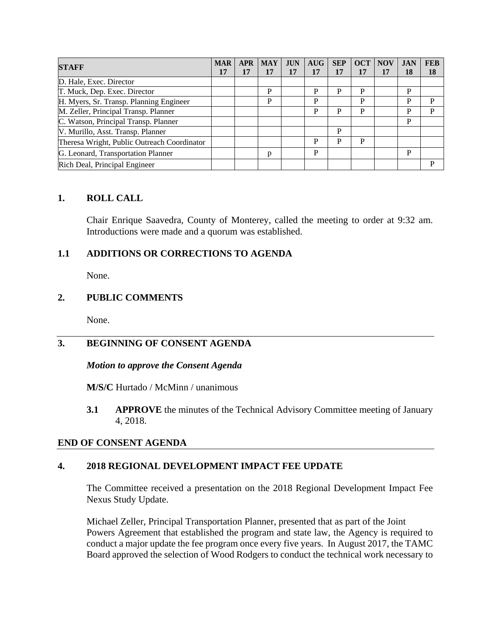| <b>STAFF</b>                                | <b>MAR</b> | <b>APR</b> | <b>MAY</b> | <b>JUN</b> | <b>AUG</b> | <b>SEP</b> | <b>OCT</b> | <b>NOV</b> | <b>JAN</b> | <b>FEB</b> |
|---------------------------------------------|------------|------------|------------|------------|------------|------------|------------|------------|------------|------------|
|                                             | 17         | 17         | 17         | 17         | 17         | 17         | 17         | 17         | 18         | 18         |
| D. Hale, Exec. Director                     |            |            |            |            |            |            |            |            |            |            |
| T. Muck, Dep. Exec. Director                |            |            | P          |            | P          | P          | P          |            | P          |            |
| H. Myers, Sr. Transp. Planning Engineer     |            |            | P          |            | P          |            | D          |            | P          | D          |
| M. Zeller, Principal Transp. Planner        |            |            |            |            | P          | P          | P          |            | P          | P          |
| C. Watson, Principal Transp. Planner        |            |            |            |            |            |            |            |            | P          |            |
| V. Murillo, Asst. Transp. Planner           |            |            |            |            |            | P          |            |            |            |            |
| Theresa Wright, Public Outreach Coordinator |            |            |            |            | P          | P          | P          |            |            |            |
| G. Leonard, Transportation Planner          |            |            | р          |            | P          |            |            |            | P          |            |
| Rich Deal, Principal Engineer               |            |            |            |            |            |            |            |            |            | D          |

### **1. ROLL CALL**

Chair Enrique Saavedra, County of Monterey, called the meeting to order at 9:32 am. Introductions were made and a quorum was established.

## **1.1 ADDITIONS OR CORRECTIONS TO AGENDA**

None.

### **2. PUBLIC COMMENTS**

None.

# **3. BEGINNING OF CONSENT AGENDA**

#### *Motion to approve the Consent Agenda*

**M/S/C** Hurtado / McMinn / unanimous

**3.1 APPROVE** the minutes of the Technical Advisory Committee meeting of January 4, 2018.

#### **END OF CONSENT AGENDA**

#### **4. 2018 REGIONAL DEVELOPMENT IMPACT FEE UPDATE**

The Committee received a presentation on the 2018 Regional Development Impact Fee Nexus Study Update.

Michael Zeller, Principal Transportation Planner, presented that as part of the Joint Powers Agreement that established the program and state law, the Agency is required to conduct a major update the fee program once every five years. In August 2017, the TAMC Board approved the selection of Wood Rodgers to conduct the technical work necessary to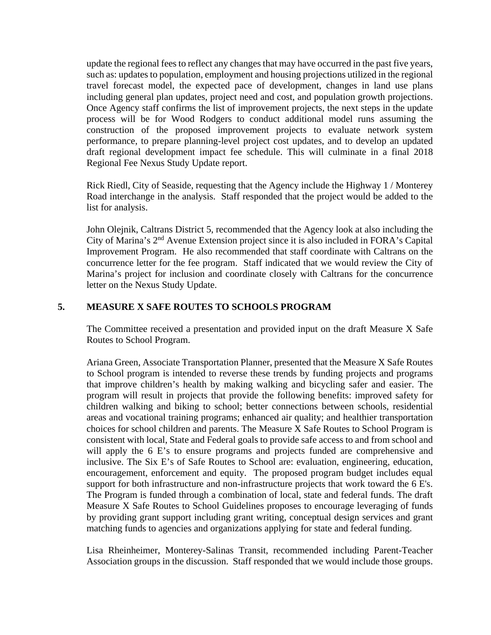update the regional fees to reflect any changes that may have occurred in the past five years, such as: updates to population, employment and housing projections utilized in the regional travel forecast model, the expected pace of development, changes in land use plans including general plan updates, project need and cost, and population growth projections. Once Agency staff confirms the list of improvement projects, the next steps in the update process will be for Wood Rodgers to conduct additional model runs assuming the construction of the proposed improvement projects to evaluate network system performance, to prepare planning-level project cost updates, and to develop an updated draft regional development impact fee schedule. This will culminate in a final 2018 Regional Fee Nexus Study Update report.

Rick Riedl, City of Seaside, requesting that the Agency include the Highway 1 / Monterey Road interchange in the analysis. Staff responded that the project would be added to the list for analysis.

John Olejnik, Caltrans District 5, recommended that the Agency look at also including the City of Marina's 2nd Avenue Extension project since it is also included in FORA's Capital Improvement Program. He also recommended that staff coordinate with Caltrans on the concurrence letter for the fee program. Staff indicated that we would review the City of Marina's project for inclusion and coordinate closely with Caltrans for the concurrence letter on the Nexus Study Update.

## **5. MEASURE X SAFE ROUTES TO SCHOOLS PROGRAM**

The Committee received a presentation and provided input on the draft Measure X Safe Routes to School Program.

Ariana Green, Associate Transportation Planner, presented that the Measure X Safe Routes to School program is intended to reverse these trends by funding projects and programs that improve children's health by making walking and bicycling safer and easier. The program will result in projects that provide the following benefits: improved safety for children walking and biking to school; better connections between schools, residential areas and vocational training programs; enhanced air quality; and healthier transportation choices for school children and parents. The Measure X Safe Routes to School Program is consistent with local, State and Federal goals to provide safe access to and from school and will apply the 6 E's to ensure programs and projects funded are comprehensive and inclusive. The Six E's of Safe Routes to School are: evaluation, engineering, education, encouragement, enforcement and equity. The proposed program budget includes equal support for both infrastructure and non-infrastructure projects that work toward the 6 E's. The Program is funded through a combination of local, state and federal funds. The draft Measure X Safe Routes to School Guidelines proposes to encourage leveraging of funds by providing grant support including grant writing, conceptual design services and grant matching funds to agencies and organizations applying for state and federal funding.

Lisa Rheinheimer, Monterey-Salinas Transit, recommended including Parent-Teacher Association groups in the discussion. Staff responded that we would include those groups.